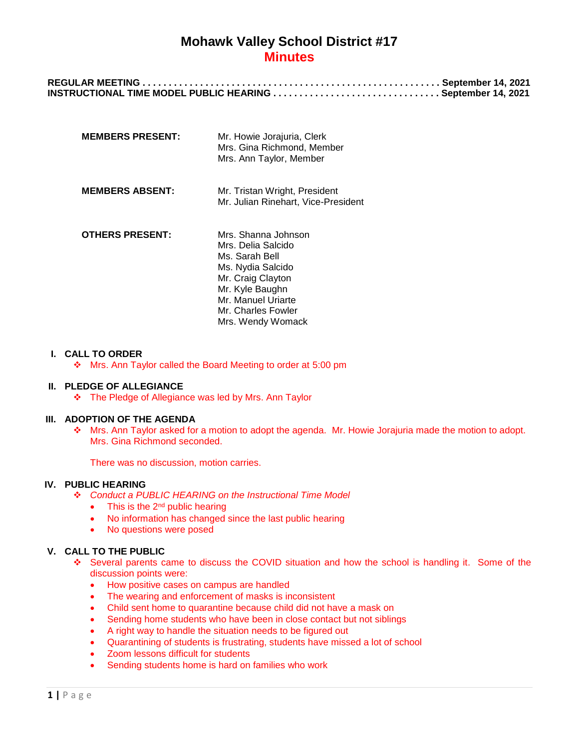| <b>MEMBERS PRESENT:</b> | Mr. Howie Jorajuria, Clerk<br>Mrs. Gina Richmond, Member<br>Mrs. Ann Taylor, Member                                                                                                       |
|-------------------------|-------------------------------------------------------------------------------------------------------------------------------------------------------------------------------------------|
| <b>MEMBERS ABSENT:</b>  | Mr. Tristan Wright, President<br>Mr. Julian Rinehart, Vice-President                                                                                                                      |
| <b>OTHERS PRESENT:</b>  | Mrs. Shanna Johnson<br>Mrs. Delia Salcido<br>Ms. Sarah Bell<br>Ms. Nydia Salcido<br>Mr. Craig Clayton<br>Mr. Kyle Baughn<br>Mr. Manuel Uriarte<br>Mr. Charles Fowler<br>Mrs. Wendy Womack |

#### **I. CALL TO ORDER**

**Mrs. Ann Taylor called the Board Meeting to order at 5:00 pm** 

## **II. PLEDGE OF ALLEGIANCE**

The Pledge of Allegiance was led by Mrs. Ann Taylor

## **III. ADOPTION OF THE AGENDA**

 Mrs. Ann Taylor asked for a motion to adopt the agenda. Mr. Howie Jorajuria made the motion to adopt. Mrs. Gina Richmond seconded.

There was no discussion, motion carries.

#### **IV. PUBLIC HEARING**

- *Conduct a PUBLIC HEARING on the Instructional Time Model*
	- $\bullet$  This is the 2<sup>nd</sup> public hearing
	- No information has changed since the last public hearing
	- No questions were posed

## **V. CALL TO THE PUBLIC**

- Several parents came to discuss the COVID situation and how the school is handling it. Some of the discussion points were:
	- How positive cases on campus are handled
	- The wearing and enforcement of masks is inconsistent
	- Child sent home to quarantine because child did not have a mask on
	- Sending home students who have been in close contact but not siblings
	- A right way to handle the situation needs to be figured out
	- Quarantining of students is frustrating, students have missed a lot of school
	- Zoom lessons difficult for students
	- Sending students home is hard on families who work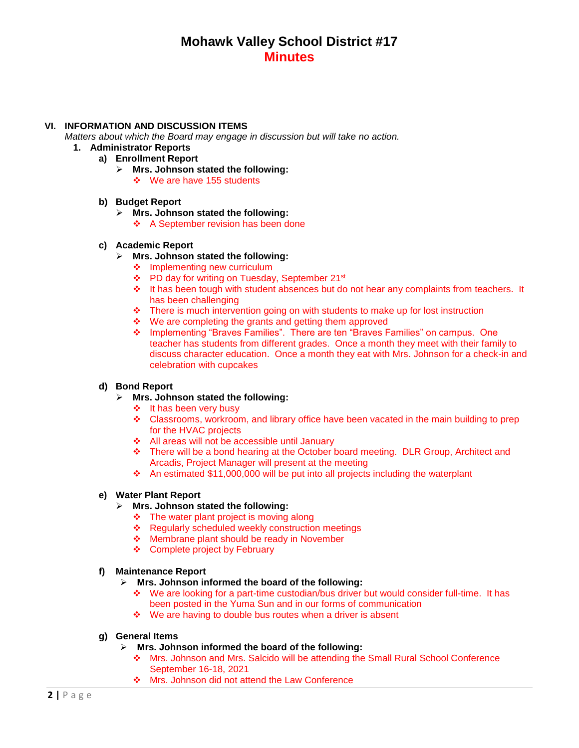## **VI. INFORMATION AND DISCUSSION ITEMS**

- *Matters about which the Board may engage in discussion but will take no action.*
	- **1. Administrator Reports**
		- **a) Enrollment Report**
			- **Mrs. Johnson stated the following:** We are have 155 students

## **b) Budget Report**

- **Mrs. Johnson stated the following:**
	- $\div$  A September revision has been done

## **c) Academic Report**

- **Mrs. Johnson stated the following:**
	- ❖ Implementing new curriculum
	- ❖ PD day for writing on Tuesday, September 21<sup>st</sup>
	- \* It has been tough with student absences but do not hear any complaints from teachers. It has been challenging
	- \* There is much intervention going on with students to make up for lost instruction
	- $\div$  We are completing the grants and getting them approved
	- Implementing "Braves Families". There are ten "Braves Families" on campus. One teacher has students from different grades. Once a month they meet with their family to discuss character education. Once a month they eat with Mrs. Johnson for a check-in and celebration with cupcakes

## **d) Bond Report**

- **Mrs. Johnson stated the following:**
	- $\div$  It has been very busy
	- Classrooms, workroom, and library office have been vacated in the main building to prep for the HVAC projects
	- All areas will not be accessible until January
	- There will be a bond hearing at the October board meeting. DLR Group, Architect and Arcadis, Project Manager will present at the meeting
	- An estimated \$11,000,000 will be put into all projects including the waterplant

## **e) Water Plant Report**

- **Mrs. Johnson stated the following:**
	- $\div$  The water plant project is moving along
	- Regularly scheduled weekly construction meetings
	- ❖ Membrane plant should be ready in November
	- ❖ Complete project by February

## **f) Maintenance Report**

- **Mrs. Johnson informed the board of the following:**
	- We are looking for a part-time custodian/bus driver but would consider full-time. It has been posted in the Yuma Sun and in our forms of communication
	- $\cdot \cdot$  We are having to double bus routes when a driver is absent
- **g) General Items**
	- **Mrs. Johnson informed the board of the following:**
		- Mrs. Johnson and Mrs. Salcido will be attending the Small Rural School Conference September 16-18, 2021
		- Mrs. Johnson did not attend the Law Conference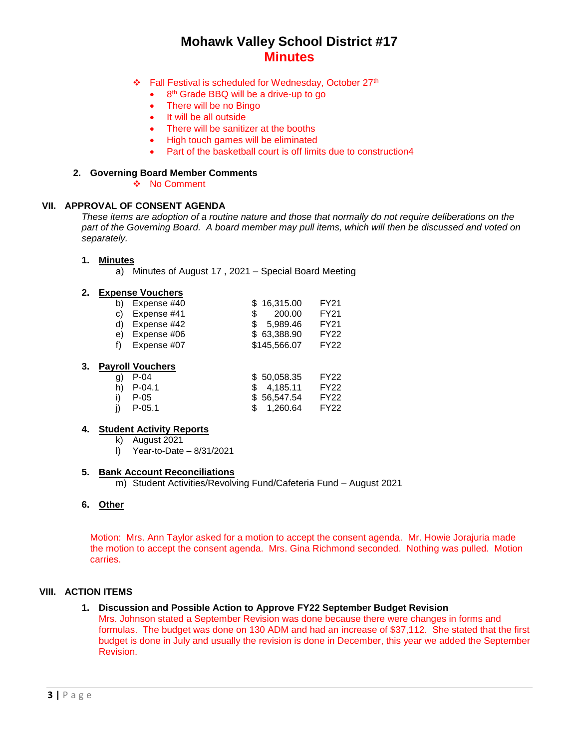- ❖ Fall Festival is scheduled for Wednesday, October 27<sup>th</sup>
	- 8 8<sup>th</sup> Grade BBQ will be a drive-up to go
	- There will be no Bingo
	- It will be all outside
	- There will be sanitizer at the booths
	- High touch games will be eliminated
	- Part of the basketball court is off limits due to construction4

#### **2. Governing Board Member Comments**

❖ No Comment

## **VII. APPROVAL OF CONSENT AGENDA**

*These items are adoption of a routine nature and those that normally do not require deliberations on the part of the Governing Board. A board member may pull items, which will then be discussed and voted on separately.*

## **1. Minutes**

a) Minutes of August 17 , 2021 – Special Board Meeting

#### **2. Expense Vouchers**

| b) | Expense #40 | \$16.315.00  | <b>FY21</b>      |
|----|-------------|--------------|------------------|
| C) | Expense #41 | 200.00       | <b>FY21</b>      |
| d) | Expense #42 | \$5.989.46   | FY <sub>21</sub> |
| e) | Expense #06 | \$63,388,90  | FY <sub>22</sub> |
| f) | Expense #07 | \$145,566.07 | FY <sub>22</sub> |
|    |             |              |                  |

#### **3. Payroll Vouchers**

| $a)$ P-04   | \$50,058,35 | FY22 |
|-------------|-------------|------|
| h) $P-04.1$ | \$4.185.11  | FY22 |
| P-05        | \$56,547.54 | FY22 |
| P-05.1      | \$ 1.260.64 | FY22 |

## **4. Student Activity Reports**

- k) August 2021
- l) Year-to-Date 8/31/2021

## **5. Bank Account Reconciliations**

m) Student Activities/Revolving Fund/Cafeteria Fund – August 2021

## **6. Other**

Motion: Mrs. Ann Taylor asked for a motion to accept the consent agenda. Mr. Howie Jorajuria made the motion to accept the consent agenda. Mrs. Gina Richmond seconded. Nothing was pulled. Motion carries.

## **VIII. ACTION ITEMS**

#### **1. Discussion and Possible Action to Approve FY22 September Budget Revision**

Mrs. Johnson stated a September Revision was done because there were changes in forms and formulas. The budget was done on 130 ADM and had an increase of \$37,112. She stated that the first budget is done in July and usually the revision is done in December, this year we added the September Revision.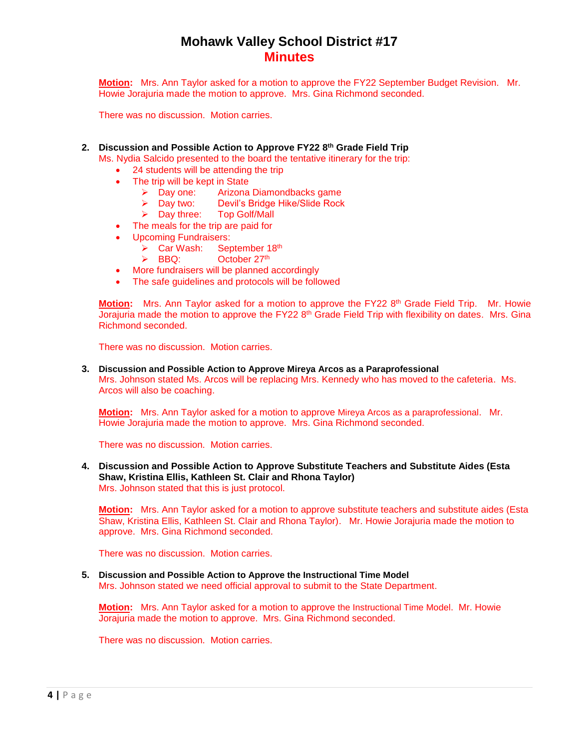**Motion:** Mrs. Ann Taylor asked for a motion to approve the FY22 September Budget Revision. Mr. Howie Jorajuria made the motion to approve. Mrs. Gina Richmond seconded.

There was no discussion. Motion carries.

#### **2. Discussion and Possible Action to Approve FY22 8 th Grade Field Trip**

Ms. Nydia Salcido presented to the board the tentative itinerary for the trip:

- 24 students will be attending the trip
- The trip will be kept in State
	- > Day one: Arizona Diamondbacks game<br>
	→ Day two: Devil's Bridge Hike/Slide Rock
	- ▶ Day two: Devil's Bridge Hike/Slide Rock
	- > Day three: Top Golf/Mall
- The meals for the trip are paid for
- Upcoming Fundraisers:
	- **►** Car Wash: September 18<sup>th</sup><br>► BBQ: Cotober 27<sup>th</sup>
		- October 27th
- More fundraisers will be planned accordingly
- The safe guidelines and protocols will be followed

**Motion:** Mrs. Ann Taylor asked for a motion to approve the FY22 8<sup>th</sup> Grade Field Trip. Mr. Howie Jorajuria made the motion to approve the FY22 8<sup>th</sup> Grade Field Trip with flexibility on dates. Mrs. Gina Richmond seconded.

There was no discussion. Motion carries.

## **3. Discussion and Possible Action to Approve Mireya Arcos as a Paraprofessional**

Mrs. Johnson stated Ms. Arcos will be replacing Mrs. Kennedy who has moved to the cafeteria. Ms. Arcos will also be coaching.

**Motion:** Mrs. Ann Taylor asked for a motion to approve Mireya Arcos as a paraprofessional. Mr. Howie Jorajuria made the motion to approve. Mrs. Gina Richmond seconded.

There was no discussion. Motion carries.

**4. Discussion and Possible Action to Approve Substitute Teachers and Substitute Aides (Esta Shaw, Kristina Ellis, Kathleen St. Clair and Rhona Taylor)** Mrs. Johnson stated that this is just protocol.

**Motion:** Mrs. Ann Taylor asked for a motion to approve substitute teachers and substitute aides (Esta Shaw, Kristina Ellis, Kathleen St. Clair and Rhona Taylor). Mr. Howie Jorajuria made the motion to approve. Mrs. Gina Richmond seconded.

There was no discussion. Motion carries.

## **5. Discussion and Possible Action to Approve the Instructional Time Model**

Mrs. Johnson stated we need official approval to submit to the State Department.

**Motion:** Mrs. Ann Taylor asked for a motion to approve the Instructional Time Model. Mr. Howie Jorajuria made the motion to approve. Mrs. Gina Richmond seconded.

There was no discussion. Motion carries.